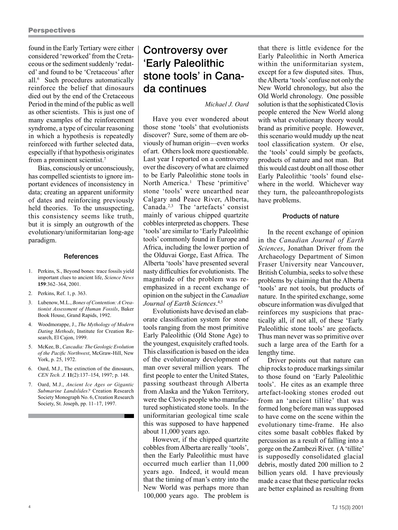found in the Early Tertiary were either considered 'reworked' from the Cretaceous or the sediment suddenly 'redated' and found to be 'Cretaceous' after all.6 Such procedures automatically reinforce the belief that dinosaurs died out by the end of the Cretaceous Period in the mind of the public as well as other scientists. This is just one of many examples of the reinforcement syndrome, a type of circular reasoning in which a hypothesis is repeatedly reinforced with further selected data, especially if that hypothesis originates from a prominent scientist.7

Bias, consciously or unconsciously, has compelled scientists to ignore important evidences of inconsistency in data; creating an apparent uniformity of dates and reinforcing previously held theories. To the unsuspecting, this consistency seems like truth, but it is simply an outgrowth of the evolutionary/uniformitarian long-age paradigm.

### **References**

- 1. Perkins, S., Beyond bones: trace fossils yield important clues to ancient life, *Science News* **159**:362–364, 2001.
- 2. Perkins, Ref. 1, p. 363.
- 3. Lubenow, M.L., *Bones of Contention: A Creationist Assessment of Human Fossils*, Baker Book House, Grand Rapids, 1992.
- 4. Woodmorappe, J., *The Mythology of Modern Dating Methods*, Institute for Creation Research, El Cajon, 1999.
- 5. McKee, B., *Cascadia: The Geologic Evolution of the Pacific Northwest*, McGraw-Hill, New York, p. 25, 1972.
- 6. Oard, M.J., The extinction of the dinosaurs, *CEN Tech. J.* **11**(2):137–154, 1997; p. 148.
- 7. Oard, M.J., *Ancient Ice Ages or Gigantic Submarine Landslides?* Creation Research Society Monograph No. 6, Creation Research Society, St. Joseph, pp. 11–17, 1997.

# Controversy over 'Early Paleolithic stone tools' in Canada continues

## *Michael J. Oard*

Have you ever wondered about those stone 'tools' that evolutionists discover? Sure, some of them are obviously of human origin—even works of art. Others look more questionable. Last year I reported on a controversy over the discovery of what are claimed to be Early Paleolithic stone tools in North America.<sup>1</sup> These 'primitive' stone 'tools' were unearthed near Calgary and Peace River, Alberta, Canada.2,3 The 'artefacts' consist mainly of various chipped quartzite cobbles interpreted as choppers. These 'tools' are similar to 'Early Paleolithic tools' commonly found in Europe and Africa, including the lower portion of the Olduvai Gorge, East Africa. The Alberta 'tools' have presented several nasty difficulties for evolutionists. The magnitude of the problem was reemphasized in a recent exchange of opinion on the subject in the *Canadian Journal of Earth Sciences*. 4,5

Evolutionists have devised an elaborate classification system for stone tools ranging from the most primitive Early Paleolithic (Old Stone Age) to the youngest, exquisitely crafted tools. This classification is based on the idea of the evolutionary development of man over several million years. The first people to enter the United States, passing southeast through Alberta from Alaska and the Yukon Territory, were the Clovis people who manufactured sophisticated stone tools. In the uniformitarian geological time scale this was supposed to have happened about 11,000 years ago.

However, if the chipped quartzite cobbles from Alberta are really 'tools', then the Early Paleolithic must have occurred much earlier than 11,000 years ago. Indeed, it would mean that the timing of man's entry into the New World was perhaps more than 100,000 years ago. The problem is that there is little evidence for the Early Paleolithic in North America within the uniformitarian system, except for a few disputed sites. Thus, the Alberta 'tools' confuse not only the New World chronology, but also the Old World chronology. One possible solution is that the sophisticated Clovis people entered the New World along with what evolutionary theory would brand as primitive people. However, this scenario would muddy up the neat tool classification system. Or else, the 'tools' could simply be geofacts, products of nature and not man. But this would cast doubt on all those other Early Paleolithic 'tools' found elsewhere in the world. Whichever way they turn, the paleoanthropologists have problems.

#### Products of nature

In the recent exchange of opinion in the *Canadian Journal of Earth Sciences*, Jonathan Driver from the Archaeology Department of Simon Fraser University near Vancouver, British Columbia, seeks to solve these problems by claiming that the Alberta 'tools' are not tools, but products of nature. In the spirited exchange, some obscure information was divulged that reinforces my suspicions that practically all, if not all, of these 'Early Paleolithic stone tools' are geofacts. Thus man never was so primitive over such a large area of the Earth for a lengthy time.

Driver points out that nature can chip rocks to produce markings similar to those found on 'Early Paleolithic tools'. He cites as an example three artefact-looking stones eroded out from an 'ancient tillite' that was formed long before man was supposed to have come on the scene within the evolutionary time-frame. He also cites some basalt cobbles flaked by percussion as a result of falling into a gorge on the Zambezi River. (A 'tillite' is supposedly consolidated glacial debris, mostly dated 200 million to 2 billion years old. I have previously made a case that these particular rocks are better explained as resulting from